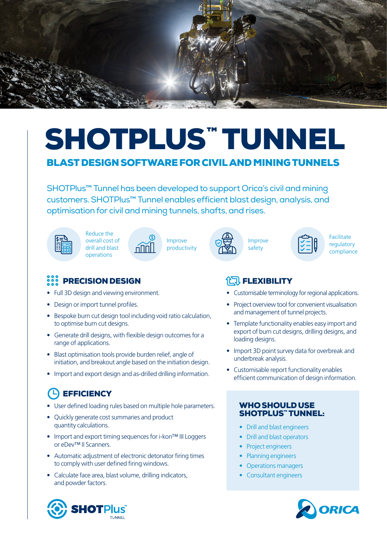

# SHOTPLUS™ TUNNEL BLAST DESIGN SOFTWARE FOR CIVIL AND MINING TUNNELS

SHOTPlus™ Tunnel has been developed to support Orica's civil and mining customers. SHOTPlus™ Tunnel enables efficient blast design, analysis, and optimisation for civil and mining tunnels, shafts, and rises.

Reduce the overall cost of drill and blast operations





Improve safety



**Facilitate** regulatory compliance

### PRECISION DESIGN

- Full 3D design and viewing environment.
- Design or import tunnel profiles.
- Bespoke burn cut design tool including void ratio calculation, to optimise burn cut designs.
- Generate drill designs, with flexible design outcomes for a range of applications.
- Blast optimisation tools provide burden relief, angle of initiation, and breakout angle based on the initiation design.
- Import and export design and as-drilled drilling information.

## (L) EFFICIENCY

- User defined loading rules based on multiple hole parameters.
- Quickly generate cost summaries and product quantity calculations.
- Import and export timing sequences for i-kon™ III Loggers or eDev™ II Scanners.
- Automatic adjustment of electronic detonator firing times to comply with user defined firing windows.
- Calculate face area, blast volume, drilling indicators, and powder factors.





### **代] FLEXIBILITY**

- Customisable terminology for regional applications.
- Project overview tool for convenient visualisation and management of tunnel projects.
- Template functionality enables easy import and export of burn cut designs, drilling designs, and loading designs.
- Import 3D point survey data for overbreak and underbreak analysis.
- Customisable report functionality enables efficient communication of design information.

#### WHO SHOULD USE SHOTPLUS™ TUNNEL:

- Drill and blast engineers
- Drill and blast operators
- Project engineers
- Planning engineers
- Operations managers
- Consultant engineers